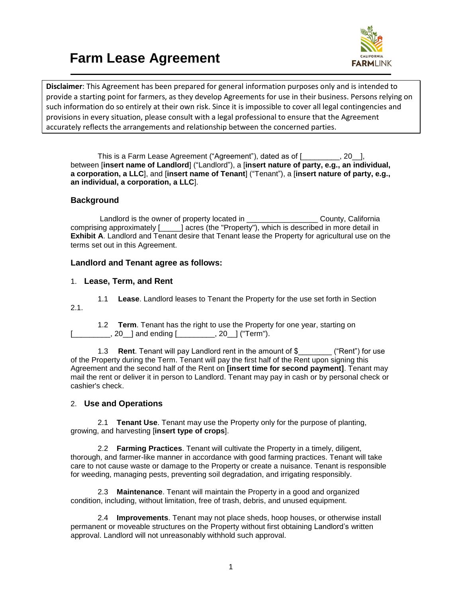# **Farm Lease Agreement**



**Disclaimer**: This Agreement has been prepared for general information purposes only and is intended to provide a starting point for farmers, as they develop Agreements for use in their business. Persons relying on such information do so entirely at their own risk. Since it is impossible to cover all legal contingencies and provisions in every situation, please consult with a legal professional to ensure that the Agreement accurately reflects the arrangements and relationship between the concerned parties.

This is a Farm Lease Agreement ("Agreement"), dated as of [\_\_\_\_\_\_\_\_\_, 20\_\_], between [**insert name of Landlord**] ("Landlord"), a [**insert nature of party, e.g., an individual, a corporation, a LLC**], and [**insert name of Tenant**] ("Tenant"), a [**insert nature of party, e.g., an individual, a corporation, a LLC**].

# **Background**

Landlord is the owner of property located in \_\_\_\_\_\_\_\_\_\_\_\_\_\_\_\_\_\_\_\_\_\_County, California comprising approximately [\_\_\_\_\_] acres (the "Property"), which is described in more detail in **Exhibit A**. Landlord and Tenant desire that Tenant lease the Property for agricultural use on the terms set out in this Agreement.

# **Landlord and Tenant agree as follows:**

## 1. **Lease, Term, and Rent**

1.1 **Lease**. Landlord leases to Tenant the Property for the use set forth in Section 2.1.

1.2 **Term**. Tenant has the right to use the Property for one year, starting on  $[20 \quad ]$  and ending  $[$  [20  $]$  ("Term").

1.3 **Rent**. Tenant will pay Landlord rent in the amount of \$\_\_\_\_\_\_\_\_ ("Rent") for use of the Property during the Term. Tenant will pay the first half of the Rent upon signing this Agreement and the second half of the Rent on **[insert time for second payment]**. Tenant may mail the rent or deliver it in person to Landlord. Tenant may pay in cash or by personal check or cashier's check.

## 2. **Use and Operations**

2.1 **Tenant Use**. Tenant may use the Property only for the purpose of planting, growing, and harvesting [**insert type of crops**].

2.2 **Farming Practices**. Tenant will cultivate the Property in a timely, diligent, thorough, and farmer-like manner in accordance with good farming practices. Tenant will take care to not cause waste or damage to the Property or create a nuisance. Tenant is responsible for weeding, managing pests, preventing soil degradation, and irrigating responsibly.

2.3 **Maintenance**. Tenant will maintain the Property in a good and organized condition, including, without limitation, free of trash, debris, and unused equipment.

2.4 **Improvements**. Tenant may not place sheds, hoop houses, or otherwise install permanent or moveable structures on the Property without first obtaining Landlord's written approval. Landlord will not unreasonably withhold such approval.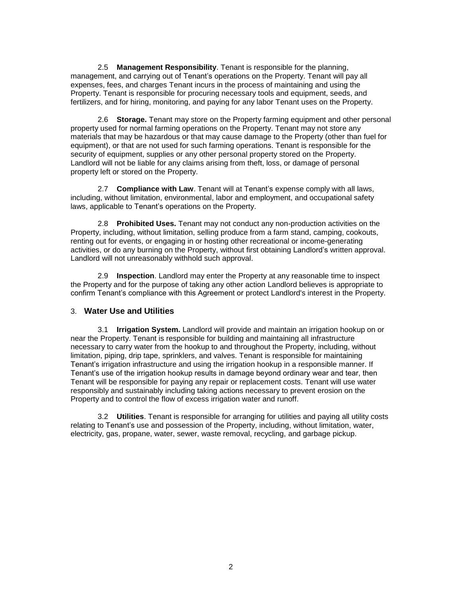2.5 **Management Responsibility**. Tenant is responsible for the planning, management, and carrying out of Tenant's operations on the Property. Tenant will pay all expenses, fees, and charges Tenant incurs in the process of maintaining and using the Property. Tenant is responsible for procuring necessary tools and equipment, seeds, and fertilizers, and for hiring, monitoring, and paying for any labor Tenant uses on the Property.

2.6 **Storage.** Tenant may store on the Property farming equipment and other personal property used for normal farming operations on the Property. Tenant may not store any materials that may be hazardous or that may cause damage to the Property (other than fuel for equipment), or that are not used for such farming operations. Tenant is responsible for the security of equipment, supplies or any other personal property stored on the Property. Landlord will not be liable for any claims arising from theft, loss, or damage of personal property left or stored on the Property.

2.7 **Compliance with Law**. Tenant will at Tenant's expense comply with all laws, including, without limitation, environmental, labor and employment, and occupational safety laws, applicable to Tenant's operations on the Property.

2.8 **Prohibited Uses.** Tenant may not conduct any non-production activities on the Property, including, without limitation, selling produce from a farm stand, camping, cookouts, renting out for events, or engaging in or hosting other recreational or income-generating activities, or do any burning on the Property, without first obtaining Landlord's written approval. Landlord will not unreasonably withhold such approval.

2.9 **Inspection**. Landlord may enter the Property at any reasonable time to inspect the Property and for the purpose of taking any other action Landlord believes is appropriate to confirm Tenant's compliance with this Agreement or protect Landlord's interest in the Property.

## 3. **Water Use and Utilities**

3.1 **Irrigation System.** Landlord will provide and maintain an irrigation hookup on or near the Property. Tenant is responsible for building and maintaining all infrastructure necessary to carry water from the hookup to and throughout the Property, including, without limitation, piping, drip tape, sprinklers, and valves. Tenant is responsible for maintaining Tenant's irrigation infrastructure and using the irrigation hookup in a responsible manner. If Tenant's use of the irrigation hookup results in damage beyond ordinary wear and tear, then Tenant will be responsible for paying any repair or replacement costs. Tenant will use water responsibly and sustainably including taking actions necessary to prevent erosion on the Property and to control the flow of excess irrigation water and runoff.

3.2 **Utilities**. Tenant is responsible for arranging for utilities and paying all utility costs relating to Tenant's use and possession of the Property, including, without limitation, water, electricity, gas, propane, water, sewer, waste removal, recycling, and garbage pickup.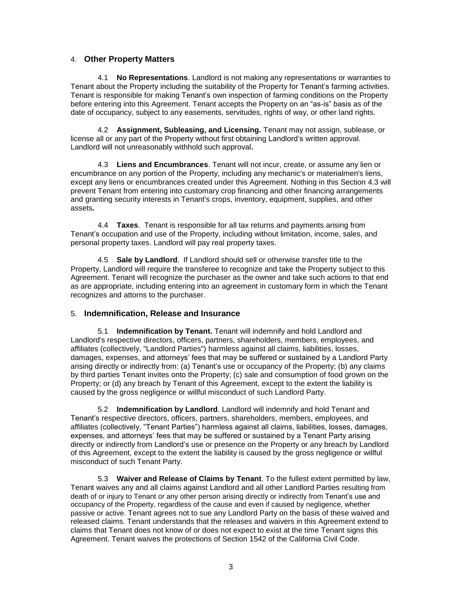#### 4. **Other Property Matters**

4.1 **No Representations**. Landlord is not making any representations or warranties to Tenant about the Property including the suitability of the Property for Tenant's farming activities. Tenant is responsible for making Tenant's own inspection of farming conditions on the Property before entering into this Agreement. Tenant accepts the Property on an "as-is" basis as of the date of occupancy, subject to any easements, servitudes, rights of way, or other land rights.

4.2 **Assignment, Subleasing, and Licensing.** Tenant may not assign, sublease, or license all or any part of the Property without first obtaining Landlord's written approval. Landlord will not unreasonably withhold such approval**.**

4.3 **Liens and Encumbrances**. Tenant will not incur, create, or assume any lien or encumbrance on any portion of the Property, including any mechanic's or materialmen's liens, except any liens or encumbrances created under this Agreement. Nothing in this Section 4.3 will prevent Tenant from entering into customary crop financing and other financing arrangements and granting security interests in Tenant's crops, inventory, equipment, supplies, and other assets**.**

4.4 **Taxes**. Tenant is responsible for all tax returns and payments arising from Tenant's occupation and use of the Property, including without limitation, income, sales, and personal property taxes. Landlord will pay real property taxes.

4.5 **Sale by Landlord**. If Landlord should sell or otherwise transfer title to the Property, Landlord will require the transferee to recognize and take the Property subject to this Agreement. Tenant will recognize the purchaser as the owner and take such actions to that end as are appropriate, including entering into an agreement in customary form in which the Tenant recognizes and attorns to the purchaser.

## 5. **Indemnification, Release and Insurance**

5.1 **Indemnification by Tenant.** Tenant will indemnify and hold Landlord and Landlord's respective directors, officers, partners, shareholders, members, employees, and affiliates (collectively, "Landlord Parties") harmless against all claims, liabilities, losses, damages, expenses, and attorneys' fees that may be suffered or sustained by a Landlord Party arising directly or indirectly from: (a) Tenant's use or occupancy of the Property; (b) any claims by third parties Tenant invites onto the Property; (c) sale and consumption of food grown on the Property; or (d) any breach by Tenant of this Agreement, except to the extent the liability is caused by the gross negligence or willful misconduct of such Landlord Party.

5.2 **Indemnification by Landlord**. Landlord will indemnify and hold Tenant and Tenant's respective directors, officers, partners, shareholders, members, employees, and affiliates (collectively, "Tenant Parties") harmless against all claims, liabilities, losses, damages, expenses, and attorneys' fees that may be suffered or sustained by a Tenant Party arising directly or indirectly from Landlord's use or presence on the Property or any breach by Landlord of this Agreement, except to the extent the liability is caused by the gross negligence or willful misconduct of such Tenant Party.

5.3 **Waiver and Release of Claims by Tenant**. To the fullest extent permitted by law, Tenant waives any and all claims against Landlord and all other Landlord Parties resulting from death of or injury to Tenant or any other person arising directly or indirectly from Tenant's use and occupancy of the Property, regardless of the cause and even if caused by negligence, whether passive or active. Tenant agrees not to sue any Landlord Party on the basis of these waived and released claims. Tenant understands that the releases and waivers in this Agreement extend to claims that Tenant does not know of or does not expect to exist at the time Tenant signs this Agreement. Tenant waives the protections of Section 1542 of the California Civil Code.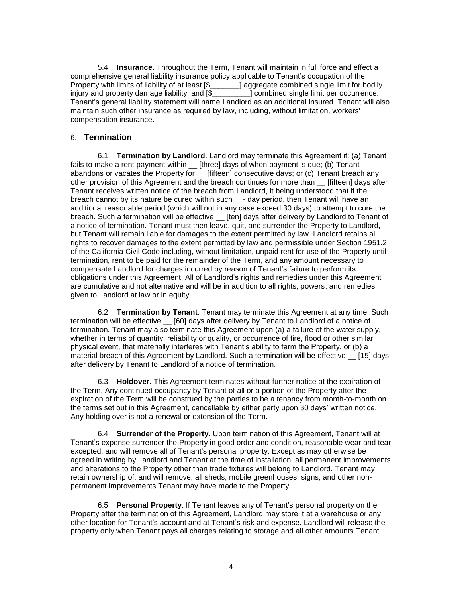5.4 **Insurance.** Throughout the Term, Tenant will maintain in full force and effect a comprehensive general liability insurance policy applicable to Tenant's occupation of the Property with limits of liability of at least  $\$\$  aggregate combined single limit for bodily injury and property damage liability, and  $\$\$  combined single limit per occurrence. Tenant's general liability statement will name Landlord as an additional insured. Tenant will also maintain such other insurance as required by law, including, without limitation, workers' compensation insurance.

#### 6. **Termination**

6.1 **Termination by Landlord**. Landlord may terminate this Agreement if: (a) Tenant fails to make a rent payment within \_\_ [three] days of when payment is due; (b) Tenant abandons or vacates the Property for <sub>[[fifteen]</sub> consecutive days; or (c) Tenant breach any other provision of this Agreement and the breach continues for more than \_\_ [fifteen] days after Tenant receives written notice of the breach from Landlord, it being understood that if the breach cannot by its nature be cured within such \_\_- day period, then Tenant will have an additional reasonable period (which will not in any case exceed 30 days) to attempt to cure the breach. Such a termination will be effective [ten] days after delivery by Landlord to Tenant of a notice of termination. Tenant must then leave, quit, and surrender the Property to Landlord, but Tenant will remain liable for damages to the extent permitted by law. Landlord retains all rights to recover damages to the extent permitted by law and permissible under Section 1951.2 of the California Civil Code including, without limitation, unpaid rent for use of the Property until termination, rent to be paid for the remainder of the Term, and any amount necessary to compensate Landlord for charges incurred by reason of Tenant's failure to perform its obligations under this Agreement. All of Landlord's rights and remedies under this Agreement are cumulative and not alternative and will be in addition to all rights, powers, and remedies given to Landlord at law or in equity.

6.2 **Termination by Tenant**. Tenant may terminate this Agreement at any time. Such termination will be effective \_\_ [60] days after delivery by Tenant to Landlord of a notice of termination. Tenant may also terminate this Agreement upon (a) a failure of the water supply, whether in terms of quantity, reliability or quality, or occurrence of fire, flood or other similar physical event, that materially interferes with Tenant's ability to farm the Property, or (b) a material breach of this Agreement by Landlord. Such a termination will be effective [15] days after delivery by Tenant to Landlord of a notice of termination.

6.3 **Holdover**. This Agreement terminates without further notice at the expiration of the Term. Any continued occupancy by Tenant of all or a portion of the Property after the expiration of the Term will be construed by the parties to be a tenancy from month-to-month on the terms set out in this Agreement, cancellable by either party upon 30 days' written notice. Any holding over is not a renewal or extension of the Term.

6.4 **Surrender of the Property**. Upon termination of this Agreement, Tenant will at Tenant's expense surrender the Property in good order and condition, reasonable wear and tear excepted, and will remove all of Tenant's personal property. Except as may otherwise be agreed in writing by Landlord and Tenant at the time of installation, all permanent improvements and alterations to the Property other than trade fixtures will belong to Landlord. Tenant may retain ownership of, and will remove, all sheds, mobile greenhouses, signs, and other nonpermanent improvements Tenant may have made to the Property.

6.5 **Personal Property**. If Tenant leaves any of Tenant's personal property on the Property after the termination of this Agreement, Landlord may store it at a warehouse or any other location for Tenant's account and at Tenant's risk and expense. Landlord will release the property only when Tenant pays all charges relating to storage and all other amounts Tenant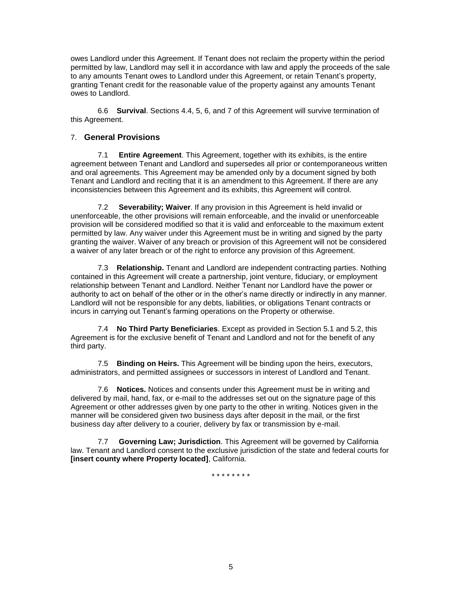owes Landlord under this Agreement. If Tenant does not reclaim the property within the period permitted by law, Landlord may sell it in accordance with law and apply the proceeds of the sale to any amounts Tenant owes to Landlord under this Agreement, or retain Tenant's property, granting Tenant credit for the reasonable value of the property against any amounts Tenant owes to Landlord.

6.6 **Survival**. Sections 4.4, 5, 6, and 7 of this Agreement will survive termination of this Agreement.

## 7. **General Provisions**

7.1 **Entire Agreement**. This Agreement, together with its exhibits, is the entire agreement between Tenant and Landlord and supersedes all prior or contemporaneous written and oral agreements. This Agreement may be amended only by a document signed by both Tenant and Landlord and reciting that it is an amendment to this Agreement. If there are any inconsistencies between this Agreement and its exhibits, this Agreement will control.

7.2 **Severability; Waiver**. If any provision in this Agreement is held invalid or unenforceable, the other provisions will remain enforceable, and the invalid or unenforceable provision will be considered modified so that it is valid and enforceable to the maximum extent permitted by law. Any waiver under this Agreement must be in writing and signed by the party granting the waiver. Waiver of any breach or provision of this Agreement will not be considered a waiver of any later breach or of the right to enforce any provision of this Agreement.

7.3 **Relationship.** Tenant and Landlord are independent contracting parties. Nothing contained in this Agreement will create a partnership, joint venture, fiduciary, or employment relationship between Tenant and Landlord. Neither Tenant nor Landlord have the power or authority to act on behalf of the other or in the other's name directly or indirectly in any manner. Landlord will not be responsible for any debts, liabilities, or obligations Tenant contracts or incurs in carrying out Tenant's farming operations on the Property or otherwise.

7.4 **No Third Party Beneficiaries**. Except as provided in Section 5.1 and 5.2, this Agreement is for the exclusive benefit of Tenant and Landlord and not for the benefit of any third party.

7.5 **Binding on Heirs.** This Agreement will be binding upon the heirs, executors, administrators, and permitted assignees or successors in interest of Landlord and Tenant.

7.6 **Notices.** Notices and consents under this Agreement must be in writing and delivered by mail, hand, fax, or e-mail to the addresses set out on the signature page of this Agreement or other addresses given by one party to the other in writing. Notices given in the manner will be considered given two business days after deposit in the mail, or the first business day after delivery to a courier, delivery by fax or transmission by e-mail.

7.7 **Governing Law; Jurisdiction**. This Agreement will be governed by California law. Tenant and Landlord consent to the exclusive jurisdiction of the state and federal courts for **[insert county where Property located]**, California.

\* \* \* \* \* \* \* \*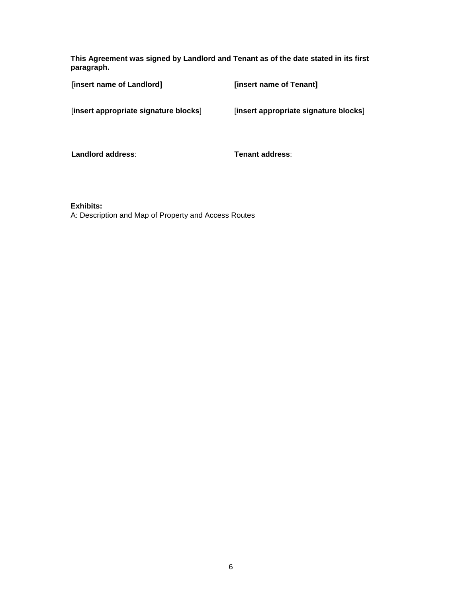**This Agreement was signed by Landlord and Tenant as of the date stated in its first paragraph.**

| [insert name of Landlord]             | [insert name of Tenant]               |
|---------------------------------------|---------------------------------------|
| [insert appropriate signature blocks] | [insert appropriate signature blocks] |
| Landlord address:                     | Tenant address:                       |
|                                       |                                       |

**Exhibits:**

A: Description and Map of Property and Access Routes